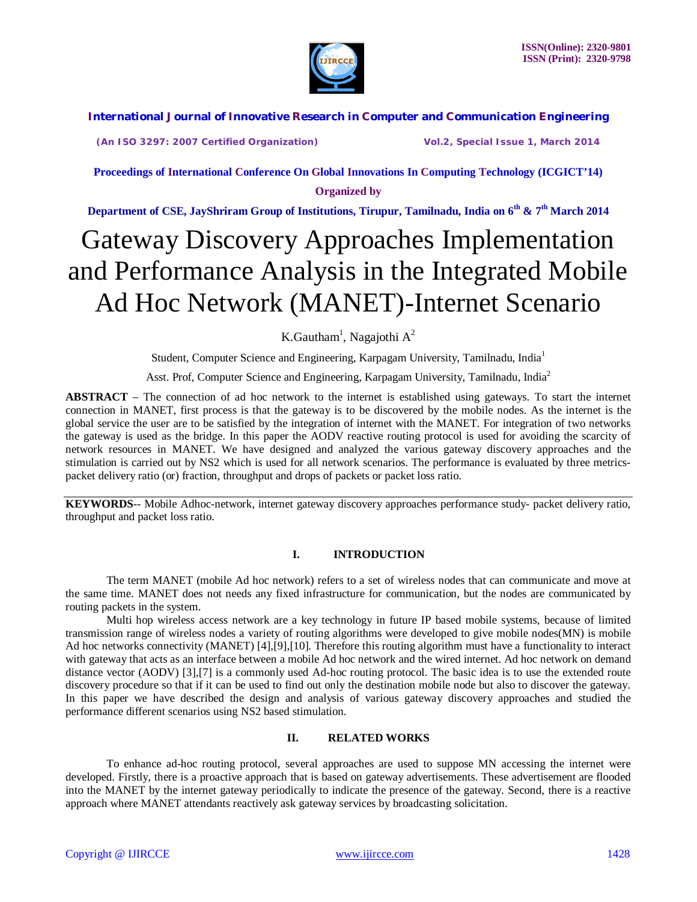

**(An ISO 3297: 2007 Certified Organization) Vol.2, Special Issue 1, March 2014**

**Proceedings of International Conference On Global Innovations In Computing Technology (ICGICT'14) Organized by**

**Department of CSE, JayShriram Group of Institutions, Tirupur, Tamilnadu, India on 6th & 7th March 2014**

# Gateway Discovery Approaches Implementation and Performance Analysis in the Integrated Mobile Ad Hoc Network (MANET)-Internet Scenario

K.Gautham<sup>1</sup>, Nagajothi A<sup>2</sup>

Student, Computer Science and Engineering, Karpagam University, Tamilnadu, India<sup>1</sup>

Asst. Prof, Computer Science and Engineering, Karpagam University, Tamilnadu, India<sup>2</sup>

**ABSTRACT** – The connection of ad hoc network to the internet is established using gateways. To start the internet connection in MANET, first process is that the gateway is to be discovered by the mobile nodes. As the internet is the global service the user are to be satisfied by the integration of internet with the MANET. For integration of two networks the gateway is used as the bridge. In this paper the AODV reactive routing protocol is used for avoiding the scarcity of network resources in MANET. We have designed and analyzed the various gateway discovery approaches and the stimulation is carried out by NS2 which is used for all network scenarios. The performance is evaluated by three metricspacket delivery ratio (or) fraction, throughput and drops of packets or packet loss ratio.

**KEYWORDS**-- Mobile Adhoc-network, internet gateway discovery approaches performance study- packet delivery ratio, throughput and packet loss ratio.

#### **I. INTRODUCTION**

 The term MANET (mobile Ad hoc network) refers to a set of wireless nodes that can communicate and move at the same time. MANET does not needs any fixed infrastructure for communication, but the nodes are communicated by routing packets in the system.

Multi hop wireless access network are a key technology in future IP based mobile systems, because of limited transmission range of wireless nodes a variety of routing algorithms were developed to give mobile nodes(MN) is mobile Ad hoc networks connectivity (MANET) [4],[9],[10]. Therefore this routing algorithm must have a functionality to interact with gateway that acts as an interface between a mobile Ad hoc network and the wired internet. Ad hoc network on demand distance vector (AODV) [3], [7] is a commonly used Ad-hoc routing protocol. The basic idea is to use the extended route discovery procedure so that if it can be used to find out only the destination mobile node but also to discover the gateway. In this paper we have described the design and analysis of various gateway discovery approaches and studied the performance different scenarios using NS2 based stimulation.

#### **II. RELATED WORKS**

To enhance ad-hoc routing protocol, several approaches are used to suppose MN accessing the internet were developed. Firstly, there is a proactive approach that is based on gateway advertisements. These advertisement are flooded into the MANET by the internet gateway periodically to indicate the presence of the gateway. Second, there is a reactive approach where MANET attendants reactively ask gateway services by broadcasting solicitation.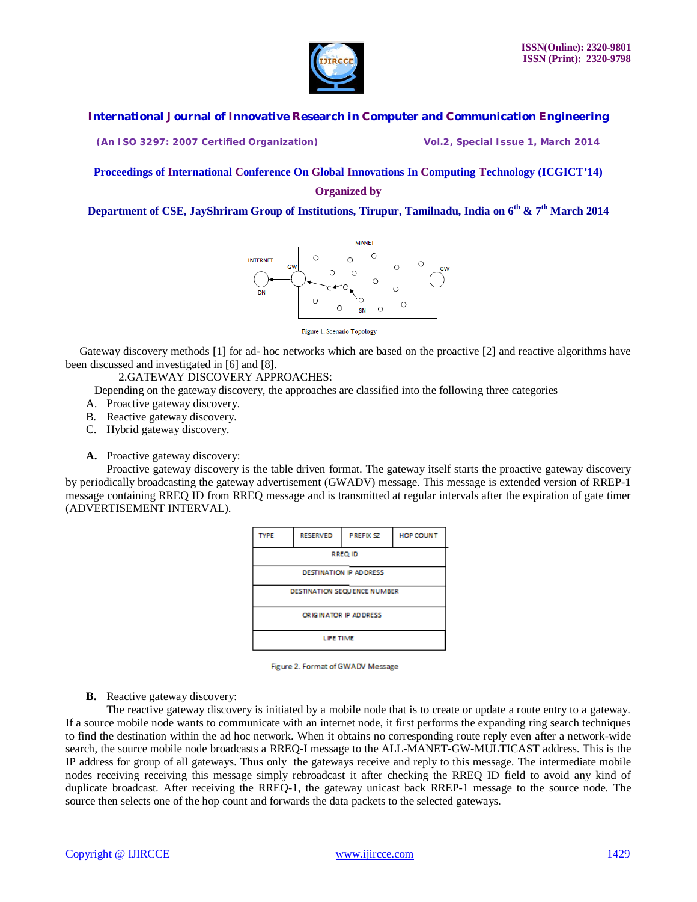

**(An ISO 3297: 2007 Certified Organization) Vol.2, Special Issue 1, March 2014**

#### **Proceedings of International Conference On Global Innovations In Computing Technology (ICGICT'14) Organized by**

**Department of CSE, JayShriram Group of Institutions, Tirupur, Tamilnadu, India on 6th & 7th March 2014**



Figure 1. Scenario Topology

 Gateway discovery methods [1] for ad- hoc networks which are based on the proactive [2] and reactive algorithms have been discussed and investigated in [6] and [8].

2.GATEWAY DISCOVERY APPROACHES:

Depending on the gateway discovery, the approaches are classified into the following three categories

- A. Proactive gateway discovery.
- B. Reactive gateway discovery.
- C. Hybrid gateway discovery.

**A.** Proactive gateway discovery:

 Proactive gateway discovery is the table driven format. The gateway itself starts the proactive gateway discovery by periodically broadcasting the gateway advertisement (GWADV) message. This message is extended version of RREP-1 message containing RREQ ID from RREQ message and is transmitted at regular intervals after the expiration of gate timer (ADVERTISEMENT INTERVAL).





**B.** Reactive gateway discovery:

 The reactive gateway discovery is initiated by a mobile node that is to create or update a route entry to a gateway. If a source mobile node wants to communicate with an internet node, it first performs the expanding ring search techniques to find the destination within the ad hoc network. When it obtains no corresponding route reply even after a network-wide search, the source mobile node broadcasts a RREQ-I message to the ALL-MANET-GW-MULTICAST address. This is the IP address for group of all gateways. Thus only the gateways receive and reply to this message. The intermediate mobile nodes receiving receiving this message simply rebroadcast it after checking the RREQ ID field to avoid any kind of duplicate broadcast. After receiving the RREQ-1, the gateway unicast back RREP-1 message to the source node. The source then selects one of the hop count and forwards the data packets to the selected gateways.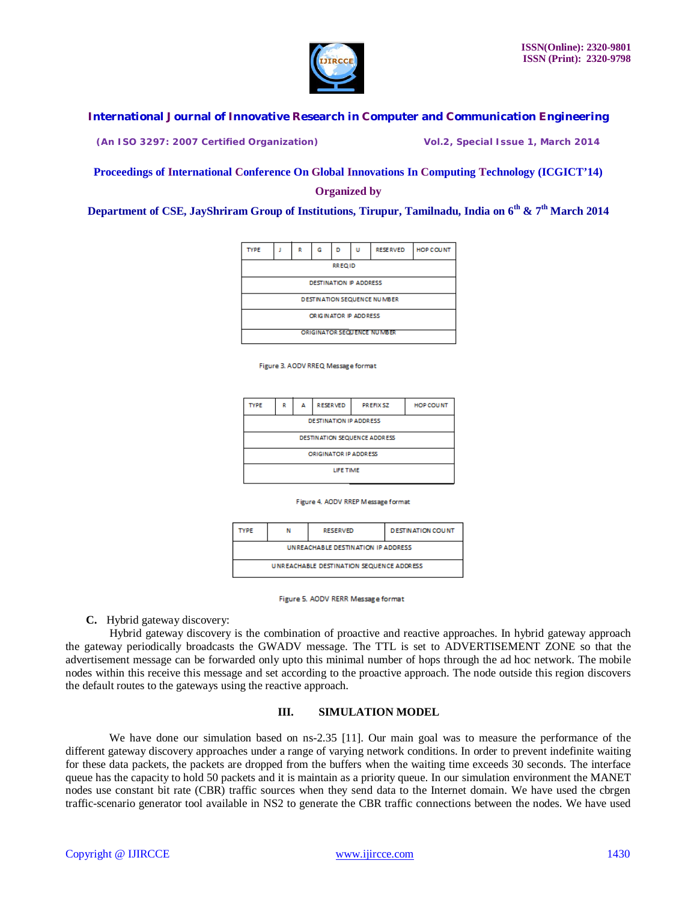

**(An ISO 3297: 2007 Certified Organization) Vol.2, Special Issue 1, March 2014**

#### **Proceedings of International Conference On Global Innovations In Computing Technology (ICGICT'14) Organized by**

**Department of CSE, JayShriram Group of Institutions, Tirupur, Tamilnadu, India on 6th & 7th March 2014**



Figure 3. AODV RREQ Message format

| <b>TYPE</b>                  | R | Α | <b>RESERVED</b> | <b>PREFIX SZ</b> | <b>HOP COUNT</b> |  |
|------------------------------|---|---|-----------------|------------------|------------------|--|
| DESTINATION IP ADDRESS       |   |   |                 |                  |                  |  |
| DESTINATION SEQUENCE ADDRESS |   |   |                 |                  |                  |  |
| ORIGINATOR IP ADDRESS        |   |   |                 |                  |                  |  |
| LIFE TIME                    |   |   |                 |                  |                  |  |

|  | Figure 4. AODV RREP Message format |  |
|--|------------------------------------|--|

| TYPE                                      | N | <b>RESERVED</b> | <b>DESTINATION COUNT</b> |  |  |
|-------------------------------------------|---|-----------------|--------------------------|--|--|
| <b>UNREACHABLE DESTINATION IP ADDRESS</b> |   |                 |                          |  |  |
| UNREACHABLE DESTINATION SEQUENCE ADDRESS  |   |                 |                          |  |  |

Figure 5. AODV RERR Message format

**C.** Hybrid gateway discovery:

 Hybrid gateway discovery is the combination of proactive and reactive approaches. In hybrid gateway approach the gateway periodically broadcasts the GWADV message. The TTL is set to ADVERTISEMENT ZONE so that the advertisement message can be forwarded only upto this minimal number of hops through the ad hoc network. The mobile nodes within this receive this message and set according to the proactive approach. The node outside this region discovers the default routes to the gateways using the reactive approach.

#### **III. SIMULATION MODEL**

We have done our simulation based on ns-2.35 [11]. Our main goal was to measure the performance of the different gateway discovery approaches under a range of varying network conditions. In order to prevent indefinite waiting for these data packets, the packets are dropped from the buffers when the waiting time exceeds 30 seconds. The interface queue has the capacity to hold 50 packets and it is maintain as a priority queue. In our simulation environment the MANET nodes use constant bit rate (CBR) traffic sources when they send data to the Internet domain. We have used the cbrgen traffic-scenario generator tool available in NS2 to generate the CBR traffic connections between the nodes. We have used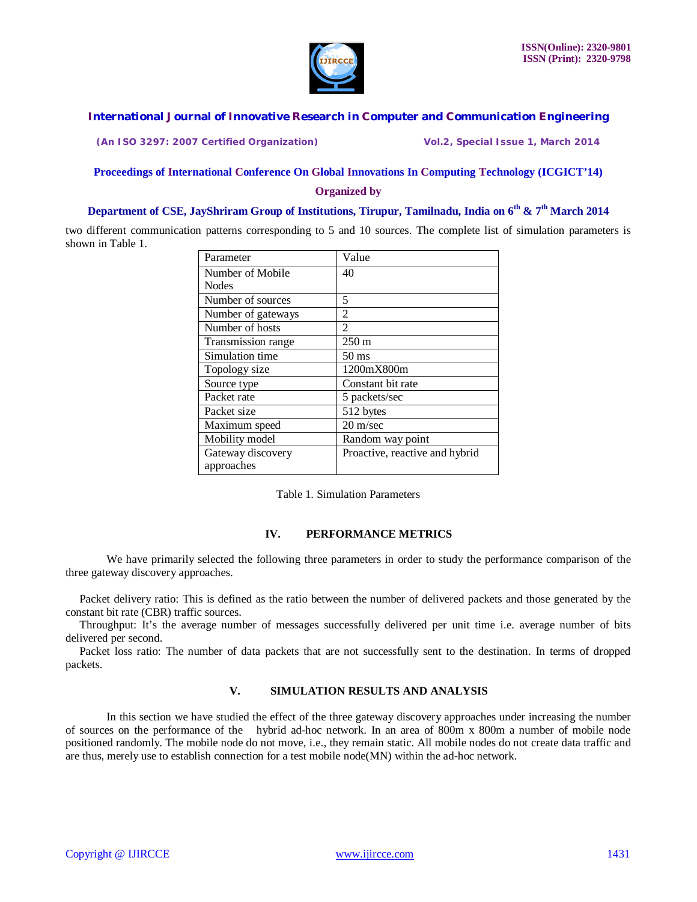

**(An ISO 3297: 2007 Certified Organization) Vol.2, Special Issue 1, March 2014**

#### **Proceedings of International Conference On Global Innovations In Computing Technology (ICGICT'14) Organized by**

# **Department of CSE, JayShriram Group of Institutions, Tirupur, Tamilnadu, India on 6th & 7th March 2014**

two different communication patterns corresponding to 5 and 10 sources. The complete list of simulation parameters is shown in Table 1.

| Parameter          | Value                          |  |
|--------------------|--------------------------------|--|
| Number of Mobile   | 40                             |  |
| <b>Nodes</b>       |                                |  |
| Number of sources  | 5                              |  |
| Number of gateways | $\overline{c}$                 |  |
| Number of hosts    | 2                              |  |
| Transmission range | $250 \text{ m}$                |  |
| Simulation time    | 50 ms                          |  |
| Topology size      | 1200mX800m                     |  |
| Source type        | Constant bit rate              |  |
| Packet rate        | 5 packets/sec                  |  |
| Packet size        | 512 bytes                      |  |
| Maximum speed      | $20 \text{ m/sec}$             |  |
| Mobility model     | Random way point               |  |
| Gateway discovery  | Proactive, reactive and hybrid |  |
| approaches         |                                |  |

Table 1. Simulation Parameters

#### **IV. PERFORMANCE METRICS**

 We have primarily selected the following three parameters in order to study the performance comparison of the three gateway discovery approaches.

 Packet delivery ratio: This is defined as the ratio between the number of delivered packets and those generated by the constant bit rate (CBR) traffic sources.

 Throughput: It's the average number of messages successfully delivered per unit time i.e. average number of bits delivered per second.

 Packet loss ratio: The number of data packets that are not successfully sent to the destination. In terms of dropped packets.

#### **V. SIMULATION RESULTS AND ANALYSIS**

 In this section we have studied the effect of the three gateway discovery approaches under increasing the number of sources on the performance of the hybrid ad-hoc network. In an area of 800m x 800m a number of mobile node positioned randomly. The mobile node do not move, i.e., they remain static. All mobile nodes do not create data traffic and are thus, merely use to establish connection for a test mobile node(MN) within the ad-hoc network.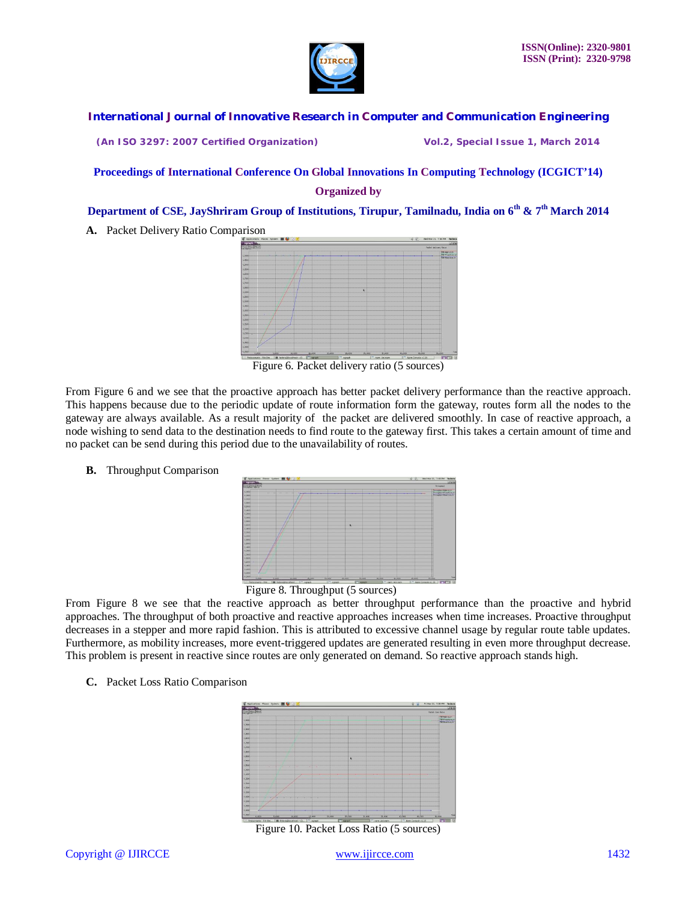

**(An ISO 3297: 2007 Certified Organization) Vol.2, Special Issue 1, March 2014**

#### **Proceedings of International Conference On Global Innovations In Computing Technology (ICGICT'14) Organized by**

### **Department of CSE, JayShriram Group of Institutions, Tirupur, Tamilnadu, India on 6th & 7th March 2014**

**A.** Packet Delivery Ratio Comparison



Figure 6. Packet delivery ratio (5 sources)

From Figure 6 and we see that the proactive approach has better packet delivery performance than the reactive approach. This happens because due to the periodic update of route information form the gateway, routes form all the nodes to the gateway are always available. As a result majority of the packet are delivered smoothly. In case of reactive approach, a node wishing to send data to the destination needs to find route to the gateway first. This takes a certain amount of time and no packet can be send during this period due to the unavailability of routes.

**B.** Throughput Comparison





From Figure 8 we see that the reactive approach as better throughput performance than the proactive and hybrid approaches. The throughput of both proactive and reactive approaches increases when time increases. Proactive throughput decreases in a stepper and more rapid fashion. This is attributed to excessive channel usage by regular route table updates. Furthermore, as mobility increases, more event-triggered updates are generated resulting in even more throughput decrease. This problem is present in reactive since routes are only generated on demand. So reactive approach stands high.

**C.** Packet Loss Ratio Comparison



Figure 10. Packet Loss Ratio (5 sources)